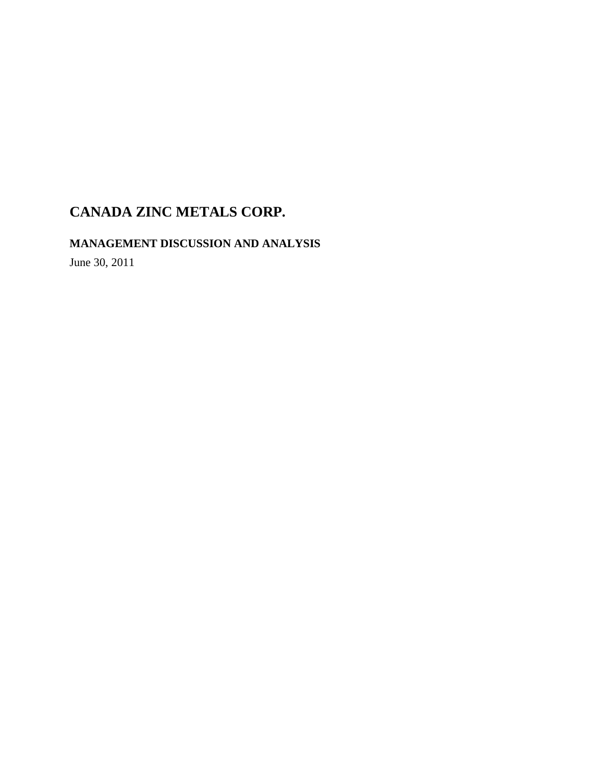**MANAGEMENT DISCUSSION AND ANALYSIS** 

June 30, 2011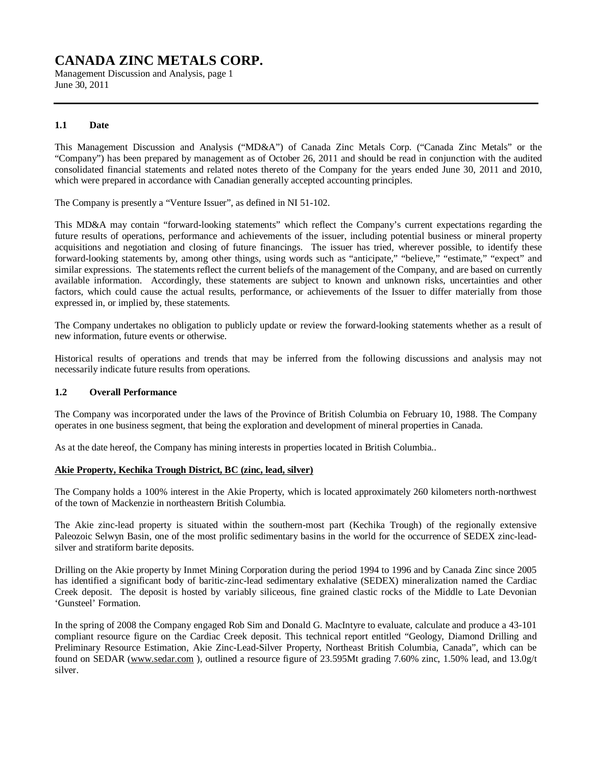Management Discussion and Analysis, page 1 June 30, 2011

# **1.1 Date**

This Management Discussion and Analysis ("MD&A") of Canada Zinc Metals Corp. ("Canada Zinc Metals" or the "Company") has been prepared by management as of October 26, 2011 and should be read in conjunction with the audited consolidated financial statements and related notes thereto of the Company for the years ended June 30, 2011 and 2010, which were prepared in accordance with Canadian generally accepted accounting principles.

The Company is presently a "Venture Issuer", as defined in NI 51-102.

This MD&A may contain "forward-looking statements" which reflect the Company's current expectations regarding the future results of operations, performance and achievements of the issuer, including potential business or mineral property acquisitions and negotiation and closing of future financings. The issuer has tried, wherever possible, to identify these forward-looking statements by, among other things, using words such as "anticipate," "believe," "estimate," "expect" and similar expressions. The statements reflect the current beliefs of the management of the Company, and are based on currently available information. Accordingly, these statements are subject to known and unknown risks, uncertainties and other factors, which could cause the actual results, performance, or achievements of the Issuer to differ materially from those expressed in, or implied by, these statements.

The Company undertakes no obligation to publicly update or review the forward-looking statements whether as a result of new information, future events or otherwise.

Historical results of operations and trends that may be inferred from the following discussions and analysis may not necessarily indicate future results from operations.

# **1.2 Overall Performance**

The Company was incorporated under the laws of the Province of British Columbia on February 10, 1988. The Company operates in one business segment, that being the exploration and development of mineral properties in Canada.

As at the date hereof, the Company has mining interests in properties located in British Columbia..

# **Akie Property, Kechika Trough District, BC (zinc, lead, silver)**

The Company holds a 100% interest in the Akie Property, which is located approximately 260 kilometers north-northwest of the town of Mackenzie in northeastern British Columbia.

The Akie zinc-lead property is situated within the southern-most part (Kechika Trough) of the regionally extensive Paleozoic Selwyn Basin, one of the most prolific sedimentary basins in the world for the occurrence of SEDEX zinc-leadsilver and stratiform barite deposits.

Drilling on the Akie property by Inmet Mining Corporation during the period 1994 to 1996 and by Canada Zinc since 2005 has identified a significant body of baritic-zinc-lead sedimentary exhalative (SEDEX) mineralization named the Cardiac Creek deposit. The deposit is hosted by variably siliceous, fine grained clastic rocks of the Middle to Late Devonian 'Gunsteel' Formation.

In the spring of 2008 the Company engaged Rob Sim and Donald G. MacIntyre to evaluate, calculate and produce a 43-101 compliant resource figure on the Cardiac Creek deposit. This technical report entitled "Geology, Diamond Drilling and Preliminary Resource Estimation, Akie Zinc-Lead-Silver Property, Northeast British Columbia, Canada", which can be found on SEDAR [\(www.sedar.com](http://www.sedar.com) ), outlined a resource figure of 23.595Mt grading 7.60% zinc, 1.50% lead, and 13.0g/t silver.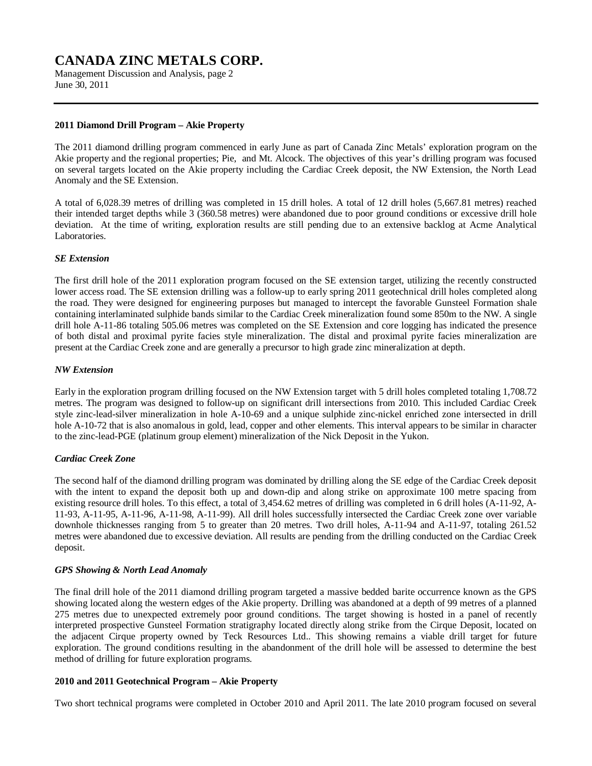Management Discussion and Analysis, page 2 June 30, 2011

# **2011 Diamond Drill Program – Akie Property**

The 2011 diamond drilling program commenced in early June as part of Canada Zinc Metals' exploration program on the Akie property and the regional properties; Pie, and Mt. Alcock. The objectives of this year's drilling program was focused on several targets located on the Akie property including the Cardiac Creek deposit, the NW Extension, the North Lead Anomaly and the SE Extension.

A total of 6,028.39 metres of drilling was completed in 15 drill holes. A total of 12 drill holes (5,667.81 metres) reached their intended target depths while 3 (360.58 metres) were abandoned due to poor ground conditions or excessive drill hole deviation. At the time of writing, exploration results are still pending due to an extensive backlog at Acme Analytical Laboratories.

# *SE Extension*

The first drill hole of the 2011 exploration program focused on the SE extension target, utilizing the recently constructed lower access road. The SE extension drilling was a follow-up to early spring 2011 geotechnical drill holes completed along the road. They were designed for engineering purposes but managed to intercept the favorable Gunsteel Formation shale containing interlaminated sulphide bands similar to the Cardiac Creek mineralization found some 850m to the NW. A single drill hole A-11-86 totaling 505.06 metres was completed on the SE Extension and core logging has indicated the presence of both distal and proximal pyrite facies style mineralization. The distal and proximal pyrite facies mineralization are present at the Cardiac Creek zone and are generally a precursor to high grade zinc mineralization at depth.

# *NW Extension*

Early in the exploration program drilling focused on the NW Extension target with 5 drill holes completed totaling 1,708.72 metres. The program was designed to follow-up on significant drill intersections from 2010. This included Cardiac Creek style zinc-lead-silver mineralization in hole A-10-69 and a unique sulphide zinc-nickel enriched zone intersected in drill hole A-10-72 that is also anomalous in gold, lead, copper and other elements. This interval appears to be similar in character to the zinc-lead-PGE (platinum group element) mineralization of the Nick Deposit in the Yukon.

# *Cardiac Creek Zone*

The second half of the diamond drilling program was dominated by drilling along the SE edge of the Cardiac Creek deposit with the intent to expand the deposit both up and down-dip and along strike on approximate 100 metre spacing from existing resource drill holes. To this effect, a total of 3,454.62 metres of drilling was completed in 6 drill holes (A-11-92, A-11-93, A-11-95, A-11-96, A-11-98, A-11-99). All drill holes successfully intersected the Cardiac Creek zone over variable downhole thicknesses ranging from 5 to greater than 20 metres. Two drill holes, A-11-94 and A-11-97, totaling 261.52 metres were abandoned due to excessive deviation. All results are pending from the drilling conducted on the Cardiac Creek deposit.

# *GPS Showing & North Lead Anomaly*

The final drill hole of the 2011 diamond drilling program targeted a massive bedded barite occurrence known as the GPS showing located along the western edges of the Akie property. Drilling was abandoned at a depth of 99 metres of a planned 275 metres due to unexpected extremely poor ground conditions. The target showing is hosted in a panel of recently interpreted prospective Gunsteel Formation stratigraphy located directly along strike from the Cirque Deposit, located on the adjacent Cirque property owned by Teck Resources Ltd.. This showing remains a viable drill target for future exploration. The ground conditions resulting in the abandonment of the drill hole will be assessed to determine the best method of drilling for future exploration programs.

# **2010 and 2011 Geotechnical Program – Akie Property**

Two short technical programs were completed in October 2010 and April 2011. The late 2010 program focused on several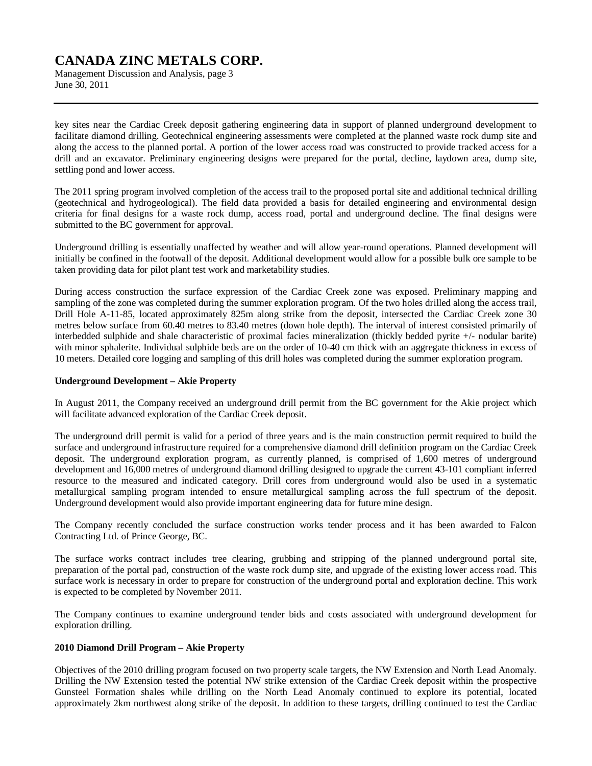Management Discussion and Analysis, page 3 June 30, 2011

key sites near the Cardiac Creek deposit gathering engineering data in support of planned underground development to facilitate diamond drilling. Geotechnical engineering assessments were completed at the planned waste rock dump site and along the access to the planned portal. A portion of the lower access road was constructed to provide tracked access for a drill and an excavator. Preliminary engineering designs were prepared for the portal, decline, laydown area, dump site, settling pond and lower access.

The 2011 spring program involved completion of the access trail to the proposed portal site and additional technical drilling (geotechnical and hydrogeological). The field data provided a basis for detailed engineering and environmental design criteria for final designs for a waste rock dump, access road, portal and underground decline. The final designs were submitted to the BC government for approval.

Underground drilling is essentially unaffected by weather and will allow year-round operations. Planned development will initially be confined in the footwall of the deposit. Additional development would allow for a possible bulk ore sample to be taken providing data for pilot plant test work and marketability studies.

During access construction the surface expression of the Cardiac Creek zone was exposed. Preliminary mapping and sampling of the zone was completed during the summer exploration program. Of the two holes drilled along the access trail, Drill Hole A-11-85, located approximately 825m along strike from the deposit, intersected the Cardiac Creek zone 30 metres below surface from 60.40 metres to 83.40 metres (down hole depth). The interval of interest consisted primarily of interbedded sulphide and shale characteristic of proximal facies mineralization (thickly bedded pyrite +/- nodular barite) with minor sphalerite. Individual sulphide beds are on the order of 10-40 cm thick with an aggregate thickness in excess of 10 meters. Detailed core logging and sampling of this drill holes was completed during the summer exploration program.

#### **Underground Development – Akie Property**

In August 2011, the Company received an underground drill permit from the BC government for the Akie project which will facilitate advanced exploration of the Cardiac Creek deposit.

The underground drill permit is valid for a period of three years and is the main construction permit required to build the surface and underground infrastructure required for a comprehensive diamond drill definition program on the Cardiac Creek deposit. The underground exploration program, as currently planned, is comprised of 1,600 metres of underground development and 16,000 metres of underground diamond drilling designed to upgrade the current 43-101 compliant inferred resource to the measured and indicated category. Drill cores from underground would also be used in a systematic metallurgical sampling program intended to ensure metallurgical sampling across the full spectrum of the deposit. Underground development would also provide important engineering data for future mine design.

The Company recently concluded the surface construction works tender process and it has been awarded to Falcon Contracting Ltd. of Prince George, BC.

The surface works contract includes tree clearing, grubbing and stripping of the planned underground portal site, preparation of the portal pad, construction of the waste rock dump site, and upgrade of the existing lower access road. This surface work is necessary in order to prepare for construction of the underground portal and exploration decline. This work is expected to be completed by November 2011.

The Company continues to examine underground tender bids and costs associated with underground development for exploration drilling.

#### **2010 Diamond Drill Program – Akie Property**

Objectives of the 2010 drilling program focused on two property scale targets, the NW Extension and North Lead Anomaly. Drilling the NW Extension tested the potential NW strike extension of the Cardiac Creek deposit within the prospective Gunsteel Formation shales while drilling on the North Lead Anomaly continued to explore its potential, located approximately 2km northwest along strike of the deposit. In addition to these targets, drilling continued to test the Cardiac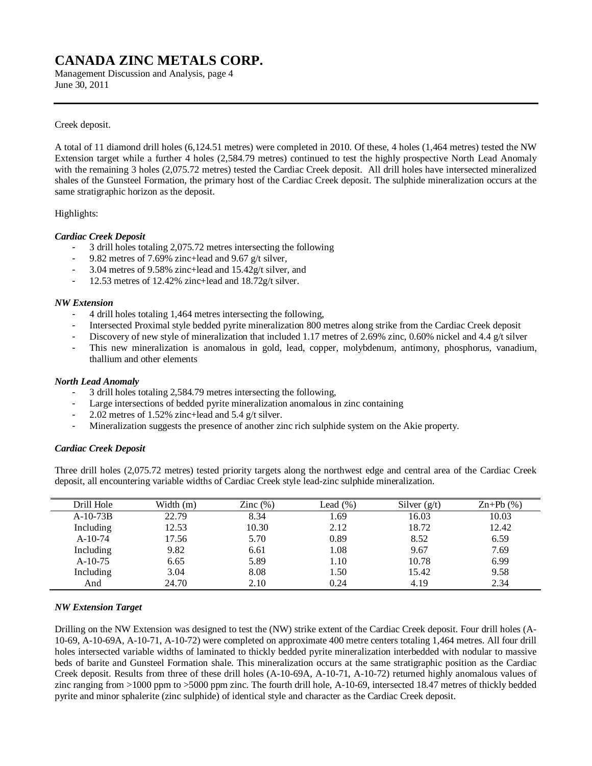Management Discussion and Analysis, page 4 June 30, 2011

# Creek deposit.

A total of 11 diamond drill holes (6,124.51 metres) were completed in 2010. Of these, 4 holes (1,464 metres) tested the NW Extension target while a further 4 holes (2,584.79 metres) continued to test the highly prospective North Lead Anomaly with the remaining 3 holes (2,075.72 metres) tested the Cardiac Creek deposit. All drill holes have intersected mineralized shales of the Gunsteel Formation, the primary host of the Cardiac Creek deposit. The sulphide mineralization occurs at the same stratigraphic horizon as the deposit.

# Highlights:

# *Cardiac Creek Deposit*

- 3 drill holes totaling 2,075.72 metres intersecting the following
- 9.82 metres of 7.69% zinc+lead and 9.67 g/t silver,
- 3.04 metres of 9.58% zinc+lead and 15.42g/t silver, and
- 12.53 metres of 12.42% zinc+lead and 18.72g/t silver.

# *NW Extension*

- 4 drill holes totaling 1,464 metres intersecting the following,
- Intersected Proximal style bedded pyrite mineralization 800 metres along strike from the Cardiac Creek deposit
- Discovery of new style of mineralization that included 1.17 metres of 2.69% zinc, 0.60% nickel and 4.4 g/t silver
- This new mineralization is anomalous in gold, lead, copper, molybdenum, antimony, phosphorus, vanadium, thallium and other elements

#### *North Lead Anomaly*

- 3 drill holes totaling 2,584.79 metres intersecting the following,
- Large intersections of bedded pyrite mineralization anomalous in zinc containing
- 2.02 metres of 1.52% zinc+lead and 5.4 g/t silver.
- Mineralization suggests the presence of another zinc rich sulphide system on the Akie property.

# *Cardiac Creek Deposit*

Three drill holes (2,075.72 metres) tested priority targets along the northwest edge and central area of the Cardiac Creek deposit, all encountering variable widths of Cardiac Creek style lead-zinc sulphide mineralization.

| Drill Hole | Width $(m)$ | Zinc $(\%)$ | Lead $(\%)$ | Silver $(g/t)$ | $\text{Zn+Pb}$ (%) |
|------------|-------------|-------------|-------------|----------------|--------------------|
| $A-10-73B$ | 22.79       | 8.34        | 1.69        | 16.03          | 10.03              |
| Including  | 12.53       | 10.30       | 2.12        | 18.72          | 12.42              |
| $A-10-74$  | 17.56       | 5.70        | 0.89        | 8.52           | 6.59               |
| Including  | 9.82        | 6.61        | 1.08        | 9.67           | 7.69               |
| $A-10-75$  | 6.65        | 5.89        | 1.10        | 10.78          | 6.99               |
| Including  | 3.04        | 8.08        | 1.50        | 15.42          | 9.58               |
| And        | 24.70       | 2.10        | 0.24        | 4.19           | 2.34               |

# *NW Extension Target*

Drilling on the NW Extension was designed to test the (NW) strike extent of the Cardiac Creek deposit. Four drill holes (A-10-69, A-10-69A, A-10-71, A-10-72) were completed on approximate 400 metre centers totaling 1,464 metres. All four drill holes intersected variable widths of laminated to thickly bedded pyrite mineralization interbedded with nodular to massive beds of barite and Gunsteel Formation shale. This mineralization occurs at the same stratigraphic position as the Cardiac Creek deposit. Results from three of these drill holes (A-10-69A, A-10-71, A-10-72) returned highly anomalous values of zinc ranging from >1000 ppm to >5000 ppm zinc. The fourth drill hole, A-10-69, intersected 18.47 metres of thickly bedded pyrite and minor sphalerite (zinc sulphide) of identical style and character as the Cardiac Creek deposit.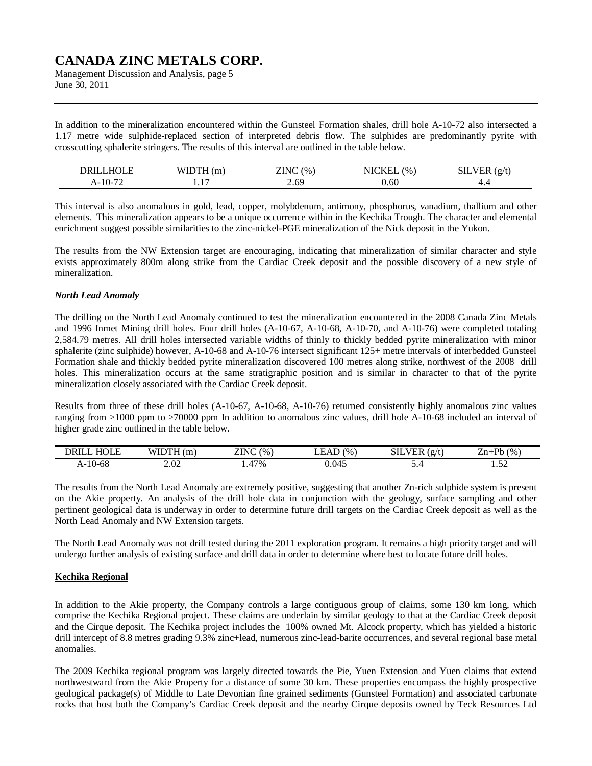Management Discussion and Analysis, page 5 June 30, 2011

In addition to the mineralization encountered within the Gunsteel Formation shales, drill hole A-10-72 also intersected a 1.17 metre wide sulphide-replaced section of interpreted debris flow. The sulphides are predominantly pyrite with crosscutting sphalerite stringers. The results of this interval are outlined in the table below.

| DRII<br><u>—</u><br>∟. | $\mathbf{r}$<br>L 11. | $\sim$ $\sim$<br>7N <sub>1</sub><br>$\frac{1}{2}$<br>ப | $\frac{9}{6}$ | $\sim$ $\sim$<br>$   -$<br>SIL<br>. .<br>Ğ |
|------------------------|-----------------------|--------------------------------------------------------|---------------|--------------------------------------------|
| $A-10-7$               | .                     | 69<br>$\sim$                                           | J.OU          | . .<br>т.-                                 |

This interval is also anomalous in gold, lead, copper, molybdenum, antimony, phosphorus, vanadium, thallium and other elements. This mineralization appears to be a unique occurrence within in the Kechika Trough. The character and elemental enrichment suggest possible similarities to the zinc-nickel-PGE mineralization of the Nick deposit in the Yukon.

The results from the NW Extension target are encouraging, indicating that mineralization of similar character and style exists approximately 800m along strike from the Cardiac Creek deposit and the possible discovery of a new style of mineralization.

# *North Lead Anomaly*

The drilling on the North Lead Anomaly continued to test the mineralization encountered in the 2008 Canada Zinc Metals and 1996 Inmet Mining drill holes. Four drill holes (A-10-67, A-10-68, A-10-70, and A-10-76) were completed totaling 2,584.79 metres. All drill holes intersected variable widths of thinly to thickly bedded pyrite mineralization with minor sphalerite (zinc sulphide) however, A-10-68 and A-10-76 intersect significant 125+ metre intervals of interbedded Gunsteel Formation shale and thickly bedded pyrite mineralization discovered 100 metres along strike, northwest of the 2008 drill holes. This mineralization occurs at the same stratigraphic position and is similar in character to that of the pyrite mineralization closely associated with the Cardiac Creek deposit.

Results from three of these drill holes (A-10-67, A-10-68, A-10-76) returned consistently highly anomalous zinc values ranging from >1000 ppm to >70000 ppm In addition to anomalous zinc values, drill hole A-10-68 included an interval of higher grade zinc outlined in the table below.

| $H$ $\Omega$ $F$<br>DRII        | WIDTH<br>'n | ZINC<br>$^{(0)}$ | $^{(0)}$ | $\sim$<br>SП<br>$\sigma$<br>к. | <b>D</b> h<br>(96)<br>$\overline{\phantom{a}}$<br>'n |
|---------------------------------|-------------|------------------|----------|--------------------------------|------------------------------------------------------|
| $\epsilon$<br>$\sim$<br>A-10-68 | 2.02        | $17\%$<br>. .    | 0.045    | ◡・─                            | $\sim$ $\sim$<br>1.JA                                |

The results from the North Lead Anomaly are extremely positive, suggesting that another Zn-rich sulphide system is present on the Akie property. An analysis of the drill hole data in conjunction with the geology, surface sampling and other pertinent geological data is underway in order to determine future drill targets on the Cardiac Creek deposit as well as the North Lead Anomaly and NW Extension targets.

The North Lead Anomaly was not drill tested during the 2011 exploration program. It remains a high priority target and will undergo further analysis of existing surface and drill data in order to determine where best to locate future drill holes.

# **Kechika Regional**

In addition to the Akie property, the Company controls a large contiguous group of claims, some 130 km long, which comprise the Kechika Regional project. These claims are underlain by similar geology to that at the Cardiac Creek deposit and the Cirque deposit. The Kechika project includes the 100% owned Mt. Alcock property, which has yielded a historic drill intercept of 8.8 metres grading 9.3% zinc+lead, numerous zinc-lead-barite occurrences, and several regional base metal anomalies.

The 2009 Kechika regional program was largely directed towards the Pie, Yuen Extension and Yuen claims that extend northwestward from the Akie Property for a distance of some 30 km. These properties encompass the highly prospective geological package(s) of Middle to Late Devonian fine grained sediments (Gunsteel Formation) and associated carbonate rocks that host both the Company's Cardiac Creek deposit and the nearby Cirque deposits owned by Teck Resources Ltd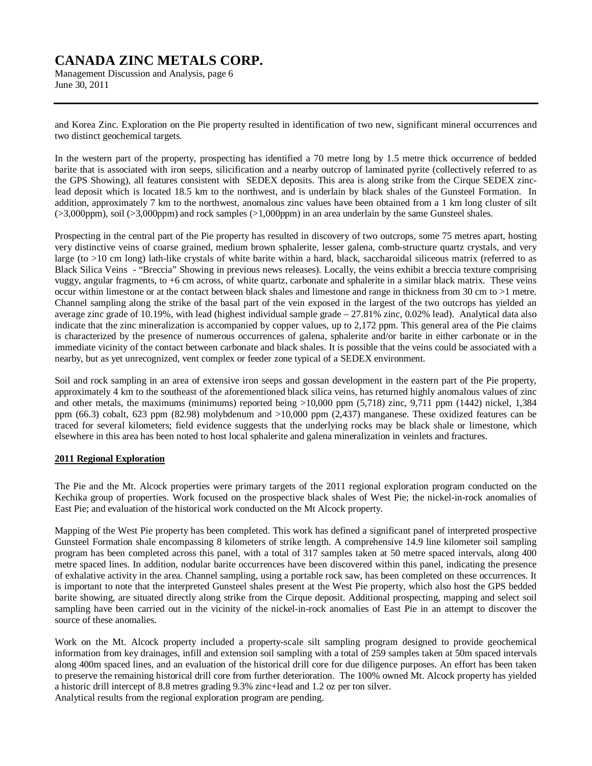Management Discussion and Analysis, page 6 June 30, 2011

and Korea Zinc. Exploration on the Pie property resulted in identification of two new, significant mineral occurrences and two distinct geochemical targets.

In the western part of the property, prospecting has identified a 70 metre long by 1.5 metre thick occurrence of bedded barite that is associated with iron seeps, silicification and a nearby outcrop of laminated pyrite (collectively referred to as the GPS Showing), all features consistent with SEDEX deposits. This area is along strike from the Cirque SEDEX zinclead deposit which is located 18.5 km to the northwest, and is underlain by black shales of the Gunsteel Formation. In addition, approximately 7 km to the northwest, anomalous zinc values have been obtained from a 1 km long cluster of silt (>3,000ppm), soil (>3,000ppm) and rock samples (>1,000ppm) in an area underlain by the same Gunsteel shales.

Prospecting in the central part of the Pie property has resulted in discovery of two outcrops, some 75 metres apart, hosting very distinctive veins of coarse grained, medium brown sphalerite, lesser galena, comb-structure quartz crystals, and very large (to >10 cm long) lath-like crystals of white barite within a hard, black, saccharoidal siliceous matrix (referred to as Black Silica Veins - "Breccia" Showing in previous news releases). Locally, the veins exhibit a breccia texture comprising vuggy, angular fragments, to +6 cm across, of white quartz, carbonate and sphalerite in a similar black matrix. These veins occur within limestone or at the contact between black shales and limestone and range in thickness from 30 cm to >1 metre. Channel sampling along the strike of the basal part of the vein exposed in the largest of the two outcrops has yielded an average zinc grade of 10.19%, with lead (highest individual sample grade – 27.81% zinc, 0.02% lead). Analytical data also indicate that the zinc mineralization is accompanied by copper values, up to 2,172 ppm. This general area of the Pie claims is characterized by the presence of numerous occurrences of galena, sphalerite and/or barite in either carbonate or in the immediate vicinity of the contact between carbonate and black shales. It is possible that the veins could be associated with a nearby, but as yet unrecognized, vent complex or feeder zone typical of a SEDEX environment.

Soil and rock sampling in an area of extensive iron seeps and gossan development in the eastern part of the Pie property, approximately 4 km to the southeast of the aforementioned black silica veins, has returned highly anomalous values of zinc and other metals, the maximums (minimums) reported being >10,000 ppm (5,718) zinc, 9,711 ppm (1442) nickel, 1,384 ppm (66.3) cobalt, 623 ppm (82.98) molybdenum and >10,000 ppm (2,437) manganese. These oxidized features can be traced for several kilometers; field evidence suggests that the underlying rocks may be black shale or limestone, which elsewhere in this area has been noted to host local sphalerite and galena mineralization in veinlets and fractures.

# **2011 Regional Exploration**

The Pie and the Mt. Alcock properties were primary targets of the 2011 regional exploration program conducted on the Kechika group of properties. Work focused on the prospective black shales of West Pie; the nickel-in-rock anomalies of East Pie; and evaluation of the historical work conducted on the Mt Alcock property.

Mapping of the West Pie property has been completed. This work has defined a significant panel of interpreted prospective Gunsteel Formation shale encompassing 8 kilometers of strike length. A comprehensive 14.9 line kilometer soil sampling program has been completed across this panel, with a total of 317 samples taken at 50 metre spaced intervals, along 400 metre spaced lines. In addition, nodular barite occurrences have been discovered within this panel, indicating the presence of exhalative activity in the area. Channel sampling, using a portable rock saw, has been completed on these occurrences. It is important to note that the interpreted Gunsteel shales present at the West Pie property, which also host the GPS bedded barite showing, are situated directly along strike from the Cirque deposit. Additional prospecting, mapping and select soil sampling have been carried out in the vicinity of the nickel-in-rock anomalies of East Pie in an attempt to discover the source of these anomalies.

Work on the Mt. Alcock property included a property-scale silt sampling program designed to provide geochemical information from key drainages, infill and extension soil sampling with a total of 259 samples taken at 50m spaced intervals along 400m spaced lines, and an evaluation of the historical drill core for due diligence purposes. An effort has been taken to preserve the remaining historical drill core from further deterioration. The 100% owned Mt. Alcock property has yielded a historic drill intercept of 8.8 metres grading 9.3% zinc+lead and 1.2 oz per ton silver.

Analytical results from the regional exploration program are pending.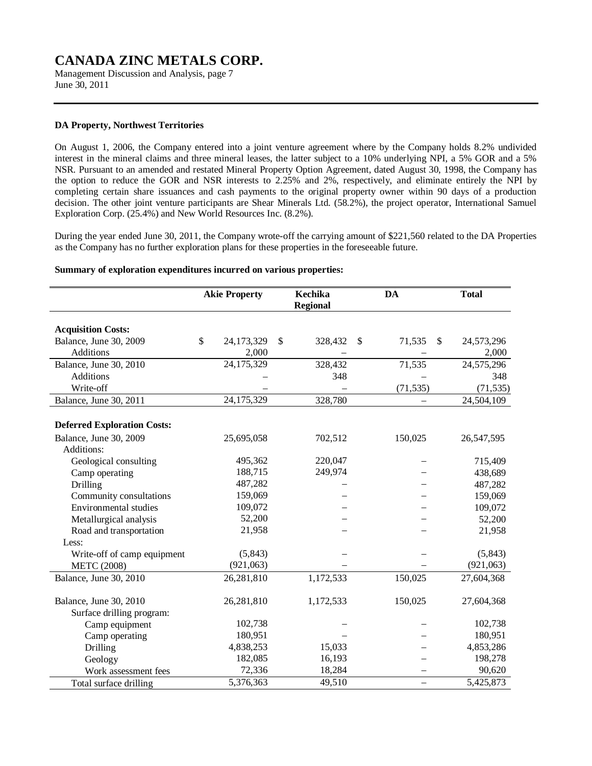Management Discussion and Analysis, page 7 June 30, 2011

# **DA Property, Northwest Territories**

On August 1, 2006, the Company entered into a joint venture agreement where by the Company holds 8.2% undivided interest in the mineral claims and three mineral leases, the latter subject to a 10% underlying NPI, a 5% GOR and a 5% NSR. Pursuant to an amended and restated Mineral Property Option Agreement, dated August 30, 1998, the Company has the option to reduce the GOR and NSR interests to 2.25% and 2%, respectively, and eliminate entirely the NPI by completing certain share issuances and cash payments to the original property owner within 90 days of a production decision. The other joint venture participants are Shear Minerals Ltd. (58.2%), the project operator, International Samuel Exploration Corp. (25.4%) and New World Resources Inc. (8.2%).

During the year ended June 30, 2011, the Company wrote-off the carrying amount of \$221,560 related to the DA Properties as the Company has no further exploration plans for these properties in the foreseeable future.

#### **Summary of exploration expenditures incurred on various properties:**

|                                    | <b>Akie Property</b> |            |              | Kechika<br><b>Regional</b> | DA           | <b>Total</b>     |
|------------------------------------|----------------------|------------|--------------|----------------------------|--------------|------------------|
| <b>Acquisition Costs:</b>          |                      |            |              |                            |              |                  |
| Balance, June 30, 2009             | \$                   | 24,173,329 | $\mathbb{S}$ | 328,432                    | \$<br>71,535 | \$<br>24,573,296 |
| <b>Additions</b>                   |                      | 2,000      |              |                            |              | 2,000            |
| Balance, June 30, 2010             |                      | 24,175,329 |              | 328,432                    | 71,535       | 24,575,296       |
| <b>Additions</b>                   |                      |            |              | 348                        |              | 348              |
| Write-off                          |                      |            |              |                            | (71, 535)    | (71, 535)        |
| Balance, June 30, 2011             |                      | 24,175,329 |              | 328,780                    |              | 24,504,109       |
| <b>Deferred Exploration Costs:</b> |                      |            |              |                            |              |                  |
| Balance, June 30, 2009             |                      | 25,695,058 |              | 702,512                    | 150,025      | 26,547,595       |
| Additions:                         |                      |            |              |                            |              |                  |
| Geological consulting              |                      | 495,362    |              | 220,047                    |              | 715,409          |
| Camp operating                     |                      | 188,715    |              | 249,974                    |              | 438,689          |
| Drilling                           |                      | 487,282    |              |                            |              | 487,282          |
| Community consultations            |                      | 159,069    |              |                            |              | 159,069          |
| <b>Environmental studies</b>       |                      | 109,072    |              |                            |              | 109,072          |
| Metallurgical analysis             |                      | 52,200     |              |                            |              | 52,200           |
| Road and transportation            |                      | 21,958     |              |                            |              | 21,958           |
| Less:                              |                      |            |              |                            |              |                  |
| Write-off of camp equipment        |                      | (5,843)    |              |                            |              | (5, 843)         |
| <b>METC (2008)</b>                 |                      | (921,063)  |              |                            |              | (921,063)        |
| Balance, June 30, 2010             |                      | 26,281,810 |              | 1,172,533                  | 150,025      | 27,604,368       |
| Balance, June 30, 2010             |                      | 26,281,810 |              | 1,172,533                  | 150,025      | 27,604,368       |
| Surface drilling program:          |                      |            |              |                            |              |                  |
| Camp equipment                     |                      | 102,738    |              |                            |              | 102,738          |
| Camp operating                     |                      | 180,951    |              |                            |              | 180,951          |
| Drilling                           |                      | 4,838,253  |              | 15,033                     |              | 4,853,286        |
| Geology                            |                      | 182,085    |              | 16,193                     |              | 198,278          |
| Work assessment fees               |                      | 72,336     |              | 18,284                     |              | 90,620           |
| Total surface drilling             |                      | 5,376,363  |              | 49,510                     | $\equiv$     | 5,425,873        |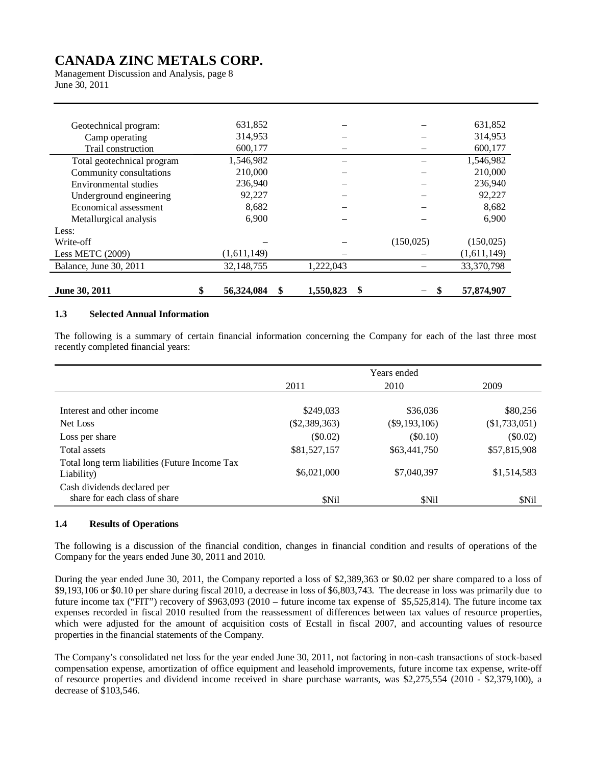Management Discussion and Analysis, page 8 June 30, 2011

| 6,900<br>(1,611,149)<br>32,148,755 | 1,222,043 | (150, 025) | 6,900<br>(150, 025)<br>(1,611,149)<br>33,370,798 |
|------------------------------------|-----------|------------|--------------------------------------------------|
|                                    |           |            |                                                  |
|                                    |           |            |                                                  |
|                                    |           |            |                                                  |
|                                    |           |            |                                                  |
|                                    |           |            |                                                  |
|                                    |           |            |                                                  |
| 8,682                              |           |            | 8,682                                            |
| 92,227                             |           |            | 92,227                                           |
| 236,940                            |           |            | 236,940                                          |
| 210,000                            |           |            | 210,000                                          |
| 1,546,982                          |           |            | 1,546,982                                        |
| 600,177                            |           |            | 600,177                                          |
| 314,953                            |           |            | 314,953                                          |
| 631,852                            |           |            | 631,852                                          |
|                                    |           |            |                                                  |

# **1.3 Selected Annual Information**

The following is a summary of certain financial information concerning the Company for each of the last three most recently completed financial years:

|                                                              | Years ended     |                 |                 |  |  |
|--------------------------------------------------------------|-----------------|-----------------|-----------------|--|--|
|                                                              | 2011            | 2010            | 2009            |  |  |
|                                                              |                 |                 |                 |  |  |
| Interest and other income                                    | \$249,033       | \$36,036        | \$80,256        |  |  |
| Net Loss                                                     | $(\$2,389,363)$ | $(\$9,193,106)$ | $(\$1,733,051)$ |  |  |
| Loss per share                                               | $(\$0.02)$      | (\$0.10)        | $(\$0.02)$      |  |  |
| Total assets                                                 | \$81,527,157    | \$63,441,750    | \$57,815,908    |  |  |
| Total long term liabilities (Future Income Tax<br>Liability) | \$6,021,000     | \$7,040,397     | \$1,514,583     |  |  |
| Cash dividends declared per<br>share for each class of share | \$Nil           | \$Nil           | \$Nil           |  |  |

#### **1.4 Results of Operations**

The following is a discussion of the financial condition, changes in financial condition and results of operations of the Company for the years ended June 30, 2011 and 2010.

During the year ended June 30, 2011, the Company reported a loss of \$2,389,363 or \$0.02 per share compared to a loss of \$9,193,106 or \$0.10 per share during fiscal 2010, a decrease in loss of \$6,803,743. The decrease in loss was primarily due to future income tax ("FIT") recovery of \$963,093 (2010 – future income tax expense of \$5,525,814). The future income tax expenses recorded in fiscal 2010 resulted from the reassessment of differences between tax values of resource properties, which were adjusted for the amount of acquisition costs of Ecstall in fiscal 2007, and accounting values of resource properties in the financial statements of the Company.

The Company's consolidated net loss for the year ended June 30, 2011, not factoring in non-cash transactions of stock-based compensation expense, amortization of office equipment and leasehold improvements, future income tax expense, write-off of resource properties and dividend income received in share purchase warrants, was \$2,275,554 (2010 - \$2,379,100), a decrease of \$103,546.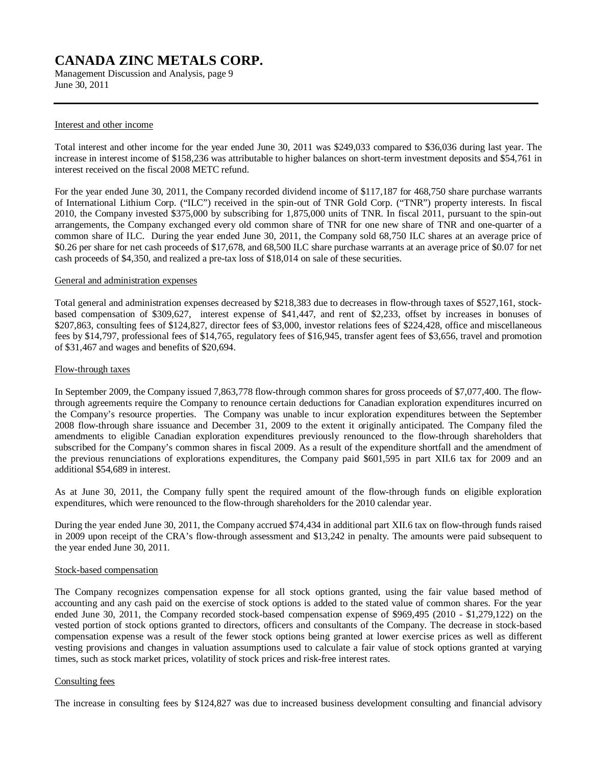Management Discussion and Analysis, page 9 June 30, 2011

#### Interest and other income

Total interest and other income for the year ended June 30, 2011 was \$249,033 compared to \$36,036 during last year. The increase in interest income of \$158,236 was attributable to higher balances on short-term investment deposits and \$54,761 in interest received on the fiscal 2008 METC refund.

For the year ended June 30, 2011, the Company recorded dividend income of \$117,187 for 468,750 share purchase warrants of International Lithium Corp. ("ILC") received in the spin-out of TNR Gold Corp. ("TNR") property interests. In fiscal 2010, the Company invested \$375,000 by subscribing for 1,875,000 units of TNR. In fiscal 2011, pursuant to the spin-out arrangements, the Company exchanged every old common share of TNR for one new share of TNR and one-quarter of a common share of ILC. During the year ended June 30, 2011, the Company sold 68,750 ILC shares at an average price of \$0.26 per share for net cash proceeds of \$17,678, and 68,500 ILC share purchase warrants at an average price of \$0.07 for net cash proceeds of \$4,350, and realized a pre-tax loss of \$18,014 on sale of these securities.

#### General and administration expenses

Total general and administration expenses decreased by \$218,383 due to decreases in flow-through taxes of \$527,161, stockbased compensation of \$309,627, interest expense of \$41,447, and rent of \$2,233, offset by increases in bonuses of \$207,863, consulting fees of \$124,827, director fees of \$3,000, investor relations fees of \$224,428, office and miscellaneous fees by \$14,797, professional fees of \$14,765, regulatory fees of \$16,945, transfer agent fees of \$3,656, travel and promotion of \$31,467 and wages and benefits of \$20,694.

#### Flow-through taxes

In September 2009, the Company issued 7,863,778 flow-through common shares for gross proceeds of \$7,077,400. The flowthrough agreements require the Company to renounce certain deductions for Canadian exploration expenditures incurred on the Company's resource properties. The Company was unable to incur exploration expenditures between the September 2008 flow-through share issuance and December 31, 2009 to the extent it originally anticipated. The Company filed the amendments to eligible Canadian exploration expenditures previously renounced to the flow-through shareholders that subscribed for the Company's common shares in fiscal 2009. As a result of the expenditure shortfall and the amendment of the previous renunciations of explorations expenditures, the Company paid \$601,595 in part XII.6 tax for 2009 and an additional \$54,689 in interest.

As at June 30, 2011, the Company fully spent the required amount of the flow-through funds on eligible exploration expenditures, which were renounced to the flow-through shareholders for the 2010 calendar year.

During the year ended June 30, 2011, the Company accrued \$74,434 in additional part XII.6 tax on flow-through funds raised in 2009 upon receipt of the CRA's flow-through assessment and \$13,242 in penalty. The amounts were paid subsequent to the year ended June 30, 2011.

### Stock-based compensation

The Company recognizes compensation expense for all stock options granted, using the fair value based method of accounting and any cash paid on the exercise of stock options is added to the stated value of common shares. For the year ended June 30, 2011, the Company recorded stock-based compensation expense of \$969,495 (2010 - \$1,279,122) on the vested portion of stock options granted to directors, officers and consultants of the Company. The decrease in stock-based compensation expense was a result of the fewer stock options being granted at lower exercise prices as well as different vesting provisions and changes in valuation assumptions used to calculate a fair value of stock options granted at varying times, such as stock market prices, volatility of stock prices and risk-free interest rates.

#### Consulting fees

The increase in consulting fees by \$124,827 was due to increased business development consulting and financial advisory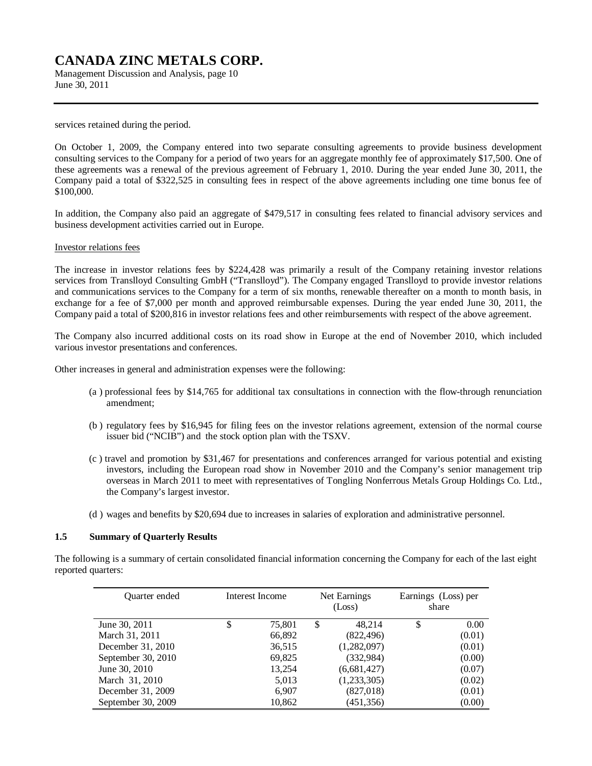Management Discussion and Analysis, page 10 June 30, 2011

services retained during the period.

On October 1, 2009, the Company entered into two separate consulting agreements to provide business development consulting services to the Company for a period of two years for an aggregate monthly fee of approximately \$17,500. One of these agreements was a renewal of the previous agreement of February 1, 2010. During the year ended June 30, 2011, the Company paid a total of \$322,525 in consulting fees in respect of the above agreements including one time bonus fee of \$100,000.

In addition, the Company also paid an aggregate of \$479,517 in consulting fees related to financial advisory services and business development activities carried out in Europe.

Investor relations fees

The increase in investor relations fees by \$224,428 was primarily a result of the Company retaining investor relations services from Translloyd Consulting GmbH ("Translloyd"). The Company engaged Translloyd to provide investor relations and communications services to the Company for a term of six months, renewable thereafter on a month to month basis, in exchange for a fee of \$7,000 per month and approved reimbursable expenses. During the year ended June 30, 2011, the Company paid a total of \$200,816 in investor relations fees and other reimbursements with respect of the above agreement.

The Company also incurred additional costs on its road show in Europe at the end of November 2010, which included various investor presentations and conferences.

Other increases in general and administration expenses were the following:

- (a ) professional fees by \$14,765 for additional tax consultations in connection with the flow-through renunciation amendment;
- (b ) regulatory fees by \$16,945 for filing fees on the investor relations agreement, extension of the normal course issuer bid ("NCIB") and the stock option plan with the TSXV.
- (c ) travel and promotion by \$31,467 for presentations and conferences arranged for various potential and existing investors, including the European road show in November 2010 and the Company's senior management trip overseas in March 2011 to meet with representatives of Tongling Nonferrous Metals Group Holdings Co. Ltd., the Company's largest investor.
- (d ) wages and benefits by \$20,694 due to increases in salaries of exploration and administrative personnel.

# **1.5 Summary of Quarterly Results**

The following is a summary of certain consolidated financial information concerning the Company for each of the last eight reported quarters:

| <b>Ouarter</b> ended | Interest Income |        | Net Earnings<br>(Loss) |             | Earnings (Loss) per<br>share |        |
|----------------------|-----------------|--------|------------------------|-------------|------------------------------|--------|
| June 30, 2011        | Φ               | 75,801 | \$                     | 48.214      |                              | 0.00   |
| March 31, 2011       |                 | 66,892 |                        | (822, 496)  |                              | (0.01) |
| December 31, 2010    |                 | 36,515 |                        | (1,282,097) |                              | (0.01) |
| September 30, 2010   |                 | 69,825 |                        | (332,984)   |                              | (0.00) |
| June 30, 2010        |                 | 13,254 |                        | (6,681,427) |                              | (0.07) |
| March 31, 2010       |                 | 5,013  |                        | (1,233,305) |                              | (0.02) |
| December 31, 2009    |                 | 6,907  |                        | (827, 018)  |                              | (0.01) |
| September 30, 2009   |                 | 10,862 |                        | (451, 356)  |                              | (0.00) |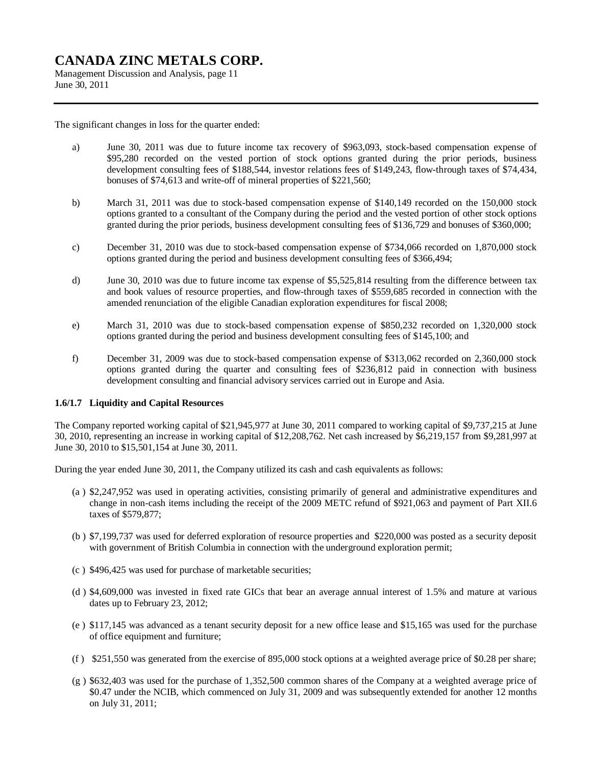Management Discussion and Analysis, page 11 June 30, 2011

The significant changes in loss for the quarter ended:

- a) June 30, 2011 was due to future income tax recovery of \$963,093, stock-based compensation expense of \$95,280 recorded on the vested portion of stock options granted during the prior periods, business development consulting fees of \$188,544, investor relations fees of \$149,243, flow-through taxes of \$74,434, bonuses of \$74,613 and write-off of mineral properties of \$221,560;
- b) March 31, 2011 was due to stock-based compensation expense of \$140,149 recorded on the 150,000 stock options granted to a consultant of the Company during the period and the vested portion of other stock options granted during the prior periods, business development consulting fees of \$136,729 and bonuses of \$360,000;
- c) December 31, 2010 was due to stock-based compensation expense of \$734,066 recorded on 1,870,000 stock options granted during the period and business development consulting fees of \$366,494;
- d) June 30, 2010 was due to future income tax expense of \$5,525,814 resulting from the difference between tax and book values of resource properties, and flow-through taxes of \$559,685 recorded in connection with the amended renunciation of the eligible Canadian exploration expenditures for fiscal 2008;
- e) March 31, 2010 was due to stock-based compensation expense of \$850,232 recorded on 1,320,000 stock options granted during the period and business development consulting fees of \$145,100; and
- f) December 31, 2009 was due to stock-based compensation expense of \$313,062 recorded on 2,360,000 stock options granted during the quarter and consulting fees of \$236,812 paid in connection with business development consulting and financial advisory services carried out in Europe and Asia.

# **1.6/1.7 Liquidity and Capital Resources**

The Company reported working capital of \$21,945,977 at June 30, 2011 compared to working capital of \$9,737,215 at June 30, 2010, representing an increase in working capital of \$12,208,762. Net cash increased by \$6,219,157 from \$9,281,997 at June 30, 2010 to \$15,501,154 at June 30, 2011.

During the year ended June 30, 2011, the Company utilized its cash and cash equivalents as follows:

- (a ) \$2,247,952 was used in operating activities, consisting primarily of general and administrative expenditures and change in non-cash items including the receipt of the 2009 METC refund of \$921,063 and payment of Part XII.6 taxes of \$579,877;
- (b ) \$7,199,737 was used for deferred exploration of resource properties and \$220,000 was posted as a security deposit with government of British Columbia in connection with the underground exploration permit;
- (c ) \$496,425 was used for purchase of marketable securities;
- (d ) \$4,609,000 was invested in fixed rate GICs that bear an average annual interest of 1.5% and mature at various dates up to February 23, 2012;
- (e ) \$117,145 was advanced as a tenant security deposit for a new office lease and \$15,165 was used for the purchase of office equipment and furniture;
- (f ) \$251,550 was generated from the exercise of 895,000 stock options at a weighted average price of \$0.28 per share;
- (g ) \$632,403 was used for the purchase of 1,352,500 common shares of the Company at a weighted average price of \$0.47 under the NCIB, which commenced on July 31, 2009 and was subsequently extended for another 12 months on July 31, 2011;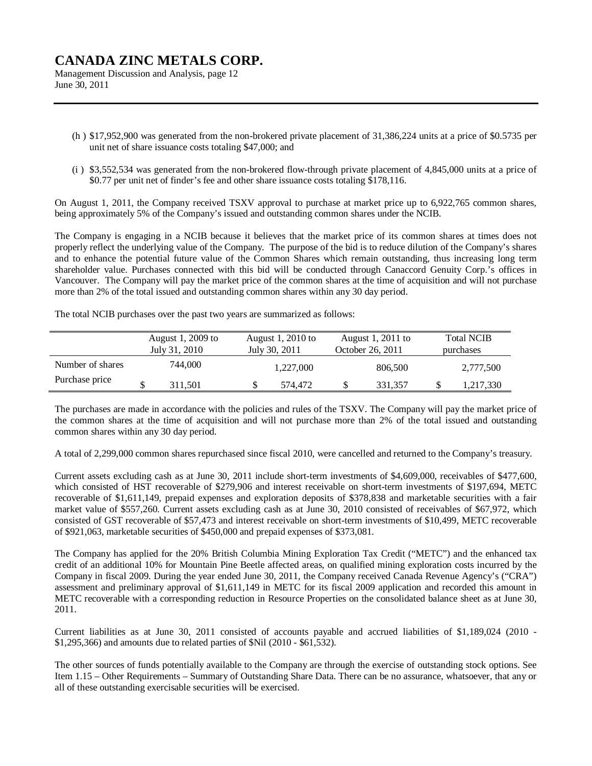Management Discussion and Analysis, page 12 June 30, 2011

- (h ) \$17,952,900 was generated from the non-brokered private placement of 31,386,224 units at a price of \$0.5735 per unit net of share issuance costs totaling \$47,000; and
- (i ) \$3,552,534 was generated from the non-brokered flow-through private placement of 4,845,000 units at a price of \$0.77 per unit net of finder's fee and other share issuance costs totaling \$178,116.

On August 1, 2011, the Company received TSXV approval to purchase at market price up to 6,922,765 common shares, being approximately 5% of the Company's issued and outstanding common shares under the NCIB.

The Company is engaging in a NCIB because it believes that the market price of its common shares at times does not properly reflect the underlying value of the Company. The purpose of the bid is to reduce dilution of the Company's shares and to enhance the potential future value of the Common Shares which remain outstanding, thus increasing long term shareholder value. Purchases connected with this bid will be conducted through Canaccord Genuity Corp.'s offices in Vancouver. The Company will pay the market price of the common shares at the time of acquisition and will not purchase more than 2% of the total issued and outstanding common shares within any 30 day period.

The total NCIB purchases over the past two years are summarized as follows:

|                  | August 1, 2009 to<br>July 31, 2010 | August 1, $2010$ to<br>July 30, 2011 |           | August 1, 2011 to<br>October 26, 2011 |         | <b>Total NCIB</b><br>purchases |           |
|------------------|------------------------------------|--------------------------------------|-----------|---------------------------------------|---------|--------------------------------|-----------|
| Number of shares | 744.000                            |                                      | 1.227,000 |                                       | 806,500 |                                | 2,777,500 |
| Purchase price   | 311.501                            |                                      | 574.472   |                                       | 331.357 |                                | 1,217,330 |

The purchases are made in accordance with the policies and rules of the TSXV. The Company will pay the market price of the common shares at the time of acquisition and will not purchase more than 2% of the total issued and outstanding common shares within any 30 day period.

A total of 2,299,000 common shares repurchased since fiscal 2010, were cancelled and returned to the Company's treasury.

Current assets excluding cash as at June 30, 2011 include short-term investments of \$4,609,000, receivables of \$477,600, which consisted of HST recoverable of \$279,906 and interest receivable on short-term investments of \$197,694, METC recoverable of \$1,611,149, prepaid expenses and exploration deposits of \$378,838 and marketable securities with a fair market value of \$557,260. Current assets excluding cash as at June 30, 2010 consisted of receivables of \$67,972, which consisted of GST recoverable of \$57,473 and interest receivable on short-term investments of \$10,499, METC recoverable of \$921,063, marketable securities of \$450,000 and prepaid expenses of \$373,081.

The Company has applied for the 20% British Columbia Mining Exploration Tax Credit ("METC") and the enhanced tax credit of an additional 10% for Mountain Pine Beetle affected areas, on qualified mining exploration costs incurred by the Company in fiscal 2009. During the year ended June 30, 2011, the Company received Canada Revenue Agency's ("CRA") assessment and preliminary approval of \$1,611,149 in METC for its fiscal 2009 application and recorded this amount in METC recoverable with a corresponding reduction in Resource Properties on the consolidated balance sheet as at June 30, 2011.

Current liabilities as at June 30, 2011 consisted of accounts payable and accrued liabilities of \$1,189,024 (2010 - \$1,295,366) and amounts due to related parties of \$Nil (2010 - \$61,532).

The other sources of funds potentially available to the Company are through the exercise of outstanding stock options. See Item 1.15 – Other Requirements – Summary of Outstanding Share Data. There can be no assurance, whatsoever, that any or all of these outstanding exercisable securities will be exercised.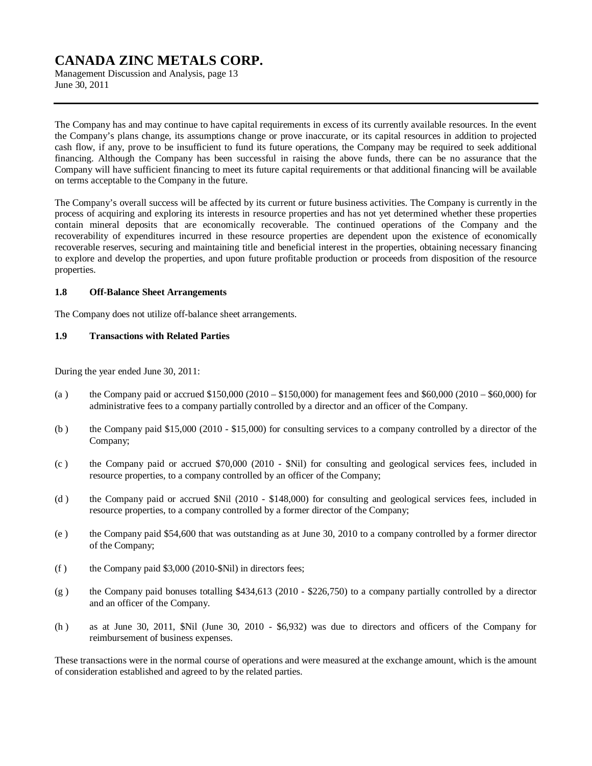Management Discussion and Analysis, page 13 June 30, 2011

The Company has and may continue to have capital requirements in excess of its currently available resources. In the event the Company's plans change, its assumptions change or prove inaccurate, or its capital resources in addition to projected cash flow, if any, prove to be insufficient to fund its future operations, the Company may be required to seek additional financing. Although the Company has been successful in raising the above funds, there can be no assurance that the Company will have sufficient financing to meet its future capital requirements or that additional financing will be available on terms acceptable to the Company in the future.

The Company's overall success will be affected by its current or future business activities. The Company is currently in the process of acquiring and exploring its interests in resource properties and has not yet determined whether these properties contain mineral deposits that are economically recoverable. The continued operations of the Company and the recoverability of expenditures incurred in these resource properties are dependent upon the existence of economically recoverable reserves, securing and maintaining title and beneficial interest in the properties, obtaining necessary financing to explore and develop the properties, and upon future profitable production or proceeds from disposition of the resource properties.

### **1.8 Off-Balance Sheet Arrangements**

The Company does not utilize off-balance sheet arrangements.

# **1.9 Transactions with Related Parties**

During the year ended June 30, 2011:

- (a ) the Company paid or accrued  $$150,000$  (2010  $$150,000$ ) for management fees and  $$60,000$  (2010  $$60,000$ ) for administrative fees to a company partially controlled by a director and an officer of the Company.
- (b ) the Company paid \$15,000 (2010 \$15,000) for consulting services to a company controlled by a director of the Company;
- (c ) the Company paid or accrued \$70,000 (2010 \$Nil) for consulting and geological services fees, included in resource properties, to a company controlled by an officer of the Company;
- (d ) the Company paid or accrued \$Nil (2010 \$148,000) for consulting and geological services fees, included in resource properties, to a company controlled by a former director of the Company;
- (e ) the Company paid \$54,600 that was outstanding as at June 30, 2010 to a company controlled by a former director of the Company;
- (f ) the Company paid \$3,000 (2010-\$Nil) in directors fees;
- (g ) the Company paid bonuses totalling \$434,613 (2010 \$226,750) to a company partially controlled by a director and an officer of the Company.
- (h ) as at June 30, 2011, \$Nil (June 30, 2010 \$6,932) was due to directors and officers of the Company for reimbursement of business expenses.

These transactions were in the normal course of operations and were measured at the exchange amount, which is the amount of consideration established and agreed to by the related parties.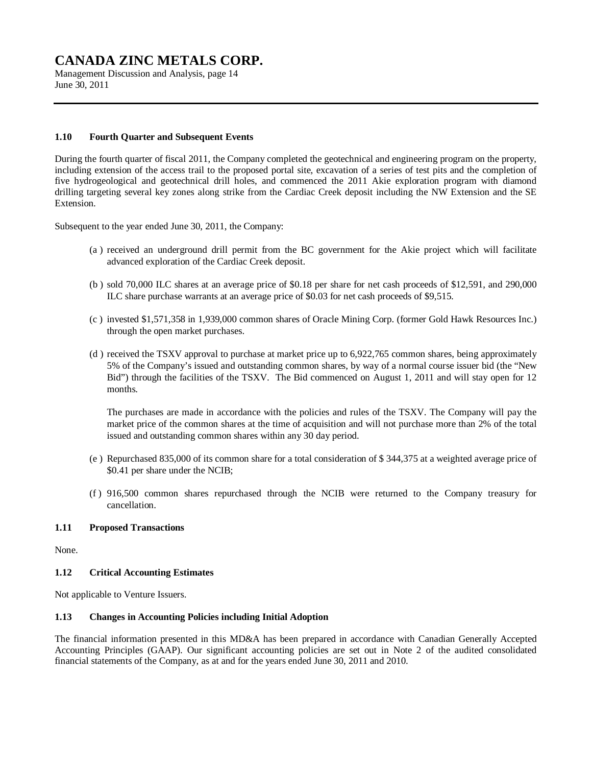Management Discussion and Analysis, page 14 June 30, 2011

# **1.10 Fourth Quarter and Subsequent Events**

During the fourth quarter of fiscal 2011, the Company completed the geotechnical and engineering program on the property, including extension of the access trail to the proposed portal site, excavation of a series of test pits and the completion of five hydrogeological and geotechnical drill holes, and commenced the 2011 Akie exploration program with diamond drilling targeting several key zones along strike from the Cardiac Creek deposit including the NW Extension and the SE Extension.

Subsequent to the year ended June 30, 2011, the Company:

- (a ) received an underground drill permit from the BC government for the Akie project which will facilitate advanced exploration of the Cardiac Creek deposit.
- (b ) sold 70,000 ILC shares at an average price of \$0.18 per share for net cash proceeds of \$12,591, and 290,000 ILC share purchase warrants at an average price of \$0.03 for net cash proceeds of \$9,515.
- (c ) invested \$1,571,358 in 1,939,000 common shares of Oracle Mining Corp. (former Gold Hawk Resources Inc.) through the open market purchases.
- (d ) received the TSXV approval to purchase at market price up to 6,922,765 common shares, being approximately 5% of the Company's issued and outstanding common shares, by way of a normal course issuer bid (the "New Bid") through the facilities of the TSXV. The Bid commenced on August 1, 2011 and will stay open for 12 months.

The purchases are made in accordance with the policies and rules of the TSXV. The Company will pay the market price of the common shares at the time of acquisition and will not purchase more than 2% of the total issued and outstanding common shares within any 30 day period.

- (e ) Repurchased 835,000 of its common share for a total consideration of \$ 344,375 at a weighted average price of \$0.41 per share under the NCIB;
- (f ) 916,500 common shares repurchased through the NCIB were returned to the Company treasury for cancellation.

#### **1.11 Proposed Transactions**

None.

# **1.12 Critical Accounting Estimates**

Not applicable to Venture Issuers.

#### **1.13 Changes in Accounting Policies including Initial Adoption**

The financial information presented in this MD&A has been prepared in accordance with Canadian Generally Accepted Accounting Principles (GAAP). Our significant accounting policies are set out in Note 2 of the audited consolidated financial statements of the Company, as at and for the years ended June 30, 2011 and 2010.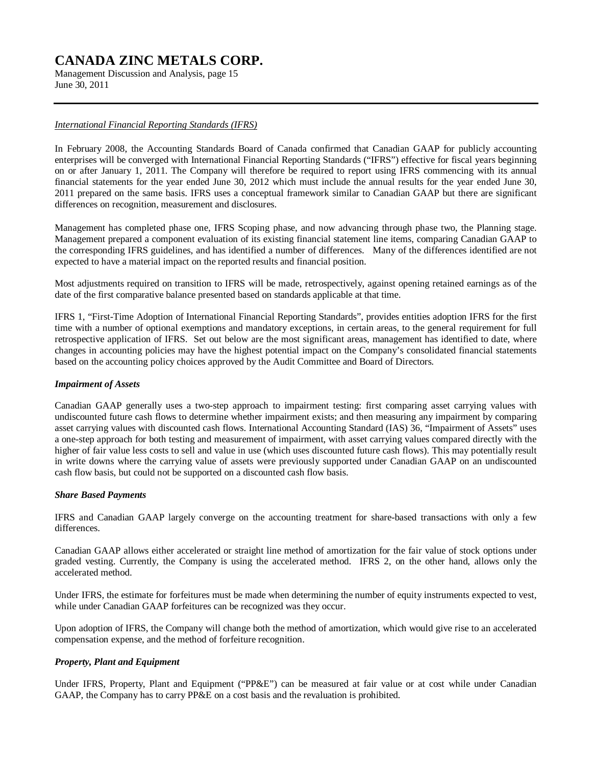Management Discussion and Analysis, page 15 June 30, 2011

# *International Financial Reporting Standards (IFRS)*

In February 2008, the Accounting Standards Board of Canada confirmed that Canadian GAAP for publicly accounting enterprises will be converged with International Financial Reporting Standards ("IFRS") effective for fiscal years beginning on or after January 1, 2011. The Company will therefore be required to report using IFRS commencing with its annual financial statements for the year ended June 30, 2012 which must include the annual results for the year ended June 30, 2011 prepared on the same basis. IFRS uses a conceptual framework similar to Canadian GAAP but there are significant differences on recognition, measurement and disclosures.

Management has completed phase one, IFRS Scoping phase, and now advancing through phase two, the Planning stage. Management prepared a component evaluation of its existing financial statement line items, comparing Canadian GAAP to the corresponding IFRS guidelines, and has identified a number of differences. Many of the differences identified are not expected to have a material impact on the reported results and financial position.

Most adjustments required on transition to IFRS will be made, retrospectively, against opening retained earnings as of the date of the first comparative balance presented based on standards applicable at that time.

IFRS 1, "First-Time Adoption of International Financial Reporting Standards", provides entities adoption IFRS for the first time with a number of optional exemptions and mandatory exceptions, in certain areas, to the general requirement for full retrospective application of IFRS. Set out below are the most significant areas, management has identified to date, where changes in accounting policies may have the highest potential impact on the Company's consolidated financial statements based on the accounting policy choices approved by the Audit Committee and Board of Directors.

# *Impairment of Assets*

Canadian GAAP generally uses a two-step approach to impairment testing: first comparing asset carrying values with undiscounted future cash flows to determine whether impairment exists; and then measuring any impairment by comparing asset carrying values with discounted cash flows. International Accounting Standard (IAS) 36, "Impairment of Assets" uses a one-step approach for both testing and measurement of impairment, with asset carrying values compared directly with the higher of fair value less costs to sell and value in use (which uses discounted future cash flows). This may potentially result in write downs where the carrying value of assets were previously supported under Canadian GAAP on an undiscounted cash flow basis, but could not be supported on a discounted cash flow basis.

# *Share Based Payments*

IFRS and Canadian GAAP largely converge on the accounting treatment for share-based transactions with only a few differences.

Canadian GAAP allows either accelerated or straight line method of amortization for the fair value of stock options under graded vesting. Currently, the Company is using the accelerated method. IFRS 2, on the other hand, allows only the accelerated method.

Under IFRS, the estimate for forfeitures must be made when determining the number of equity instruments expected to vest, while under Canadian GAAP forfeitures can be recognized was they occur.

Upon adoption of IFRS, the Company will change both the method of amortization, which would give rise to an accelerated compensation expense, and the method of forfeiture recognition.

# *Property, Plant and Equipment*

Under IFRS, Property, Plant and Equipment ("PP&E") can be measured at fair value or at cost while under Canadian GAAP, the Company has to carry PP&E on a cost basis and the revaluation is prohibited.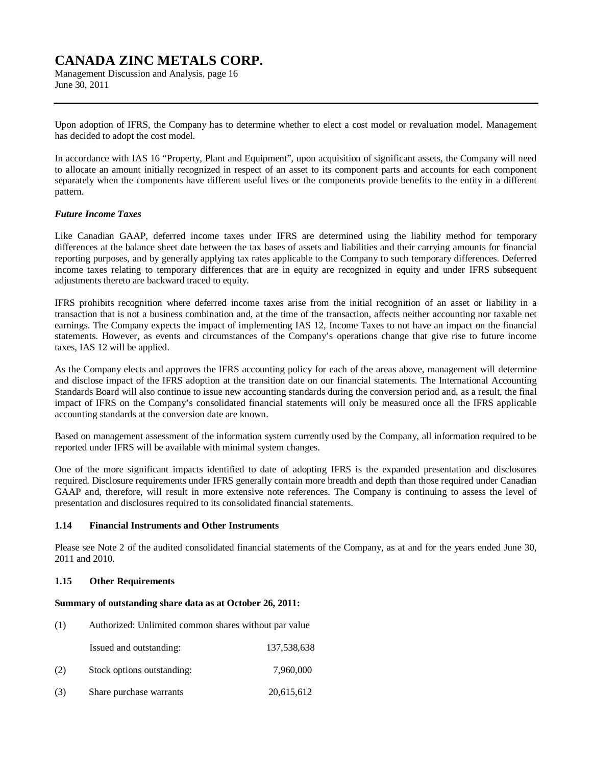Management Discussion and Analysis, page 16 June 30, 2011

Upon adoption of IFRS, the Company has to determine whether to elect a cost model or revaluation model. Management has decided to adopt the cost model.

In accordance with IAS 16 "Property, Plant and Equipment", upon acquisition of significant assets, the Company will need to allocate an amount initially recognized in respect of an asset to its component parts and accounts for each component separately when the components have different useful lives or the components provide benefits to the entity in a different pattern.

#### *Future Income Taxes*

Like Canadian GAAP, deferred income taxes under IFRS are determined using the liability method for temporary differences at the balance sheet date between the tax bases of assets and liabilities and their carrying amounts for financial reporting purposes, and by generally applying tax rates applicable to the Company to such temporary differences. Deferred income taxes relating to temporary differences that are in equity are recognized in equity and under IFRS subsequent adjustments thereto are backward traced to equity.

IFRS prohibits recognition where deferred income taxes arise from the initial recognition of an asset or liability in a transaction that is not a business combination and, at the time of the transaction, affects neither accounting nor taxable net earnings. The Company expects the impact of implementing IAS 12, Income Taxes to not have an impact on the financial statements. However, as events and circumstances of the Company's operations change that give rise to future income taxes, IAS 12 will be applied.

As the Company elects and approves the IFRS accounting policy for each of the areas above, management will determine and disclose impact of the IFRS adoption at the transition date on our financial statements. The International Accounting Standards Board will also continue to issue new accounting standards during the conversion period and, as a result, the final impact of IFRS on the Company's consolidated financial statements will only be measured once all the IFRS applicable accounting standards at the conversion date are known.

Based on management assessment of the information system currently used by the Company, all information required to be reported under IFRS will be available with minimal system changes.

One of the more significant impacts identified to date of adopting IFRS is the expanded presentation and disclosures required. Disclosure requirements under IFRS generally contain more breadth and depth than those required under Canadian GAAP and, therefore, will result in more extensive note references. The Company is continuing to assess the level of presentation and disclosures required to its consolidated financial statements.

#### **1.14 Financial Instruments and Other Instruments**

Please see Note 2 of the audited consolidated financial statements of the Company, as at and for the years ended June 30, 2011 and 2010.

#### **1.15 Other Requirements**

#### **Summary of outstanding share data as at October 26, 2011:**

- (1) Authorized: Unlimited common shares without par value
	- Issued and outstanding: 137,538,638
- (2) Stock options outstanding: 7,960,000
- (3) Share purchase warrants 20,615,612